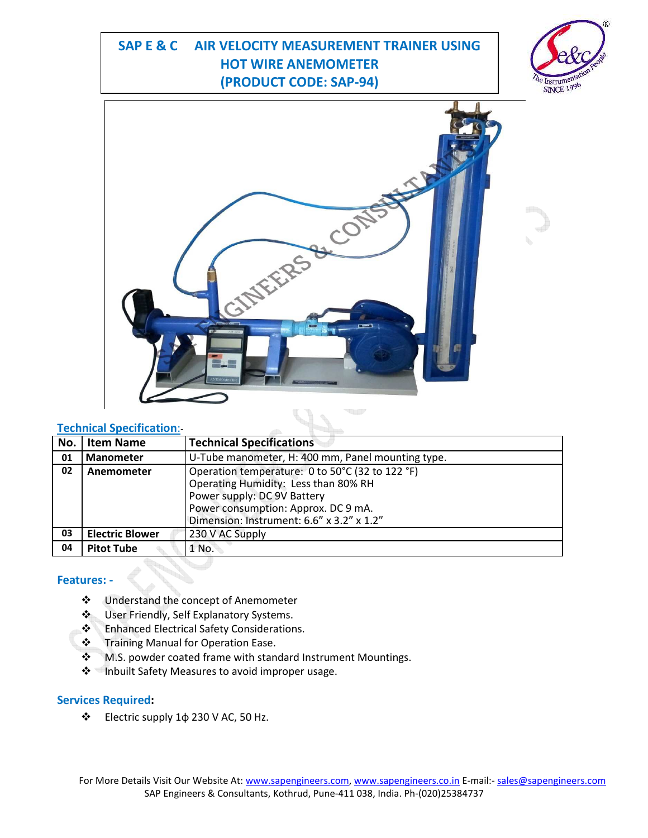# **SAP E & C AIR VELOCITY MEASUREMENT TRAINER USING HOT WIRE ANEMOMETER (PRODUCT CODE: SAP-94)**





### **Technical Specification**:-

| No. | <b>Item Name</b>       | <b>Technical Specifications</b>                   |
|-----|------------------------|---------------------------------------------------|
|     |                        |                                                   |
| 01  | <b>Manometer</b>       | U-Tube manometer, H: 400 mm, Panel mounting type. |
| 02  | Anemometer             | Operation temperature: 0 to 50°C (32 to 122 °F)   |
|     |                        | Operating Humidity: Less than 80% RH              |
|     |                        | Power supply: DC 9V Battery                       |
|     |                        | Power consumption: Approx. DC 9 mA.               |
|     |                        | Dimension: Instrument: 6.6" x 3.2" x 1.2"         |
| 03  | <b>Electric Blower</b> | 230 V AC Supply                                   |
| 04  | <b>Pitot Tube</b>      | 1 No.                                             |

#### **Features: -**

- Understand the concept of Anemometer
- User Friendly, Self Explanatory Systems.
- ❖ Enhanced Electrical Safety Considerations.
- ❖ Training Manual for Operation Ease.
- $\cdot$  M.S. powder coated frame with standard Instrument Mountings.
- ❖ Inbuilt Safety Measures to avoid improper usage.

#### **Services Required:**

Electric supply 1φ 230 V AC, 50 Hz.